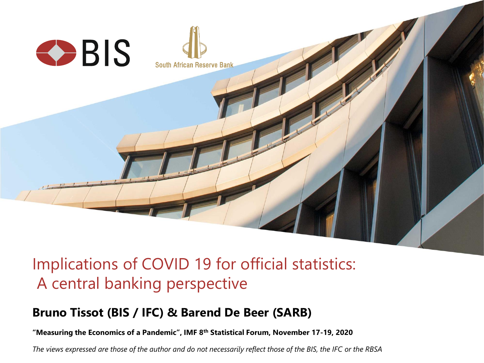

#### Implications of COVID 19 for official statistics: A central banking perspective

#### **Bruno Tissot (BIS / IFC) & Barend De Beer (SARB)**

**"Measuring the Economics of a Pandemic", IMF 8th Statistical Forum, November 17-19, 2020**

*The views expressed are those of the author and do not necessarily reflect those of the BIS, the IFC or the RBSA*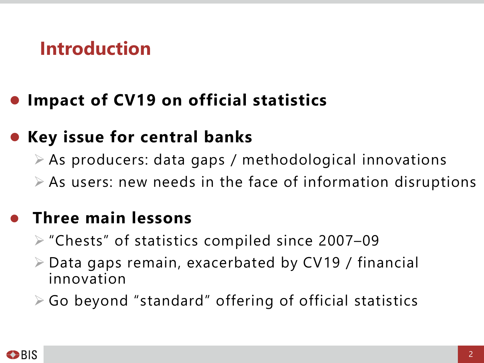## **Introduction**

## ⚫ **Impact of CV19 on official statistics**

#### ⚫ **Key issue for central banks**

➢ As producers: data gaps / methodological innovations

 $\triangleright$  As users: new needs in the face of information disruptions

### ⚫ **Three main lessons**

- ➢ "Chests" of statistics compiled since 2007–09
- ➢ Data gaps remain, exacerbated by CV19 / financial innovation
- ➢ Go beyond "standard" offering of official statistics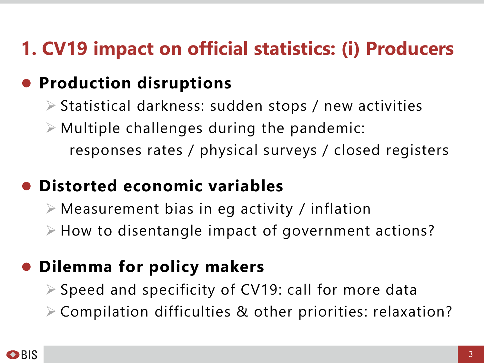## **1. CV19 impact on official statistics: (i) Producers**

## ⚫ **Production disruptions**

- ➢ Statistical darkness: sudden stops / new activities
- $\triangleright$  Multiple challenges during the pandemic: responses rates / physical surveys / closed registers

### ⚫ **Distorted economic variables**

- $\triangleright$  Measurement bias in eg activity / inflation
- ➢ How to disentangle impact of government actions?

## ⚫ **Dilemma for policy makers**

- ➢ Speed and specificity of CV19: call for more data
- ➢ Compilation difficulties & other priorities: relaxation?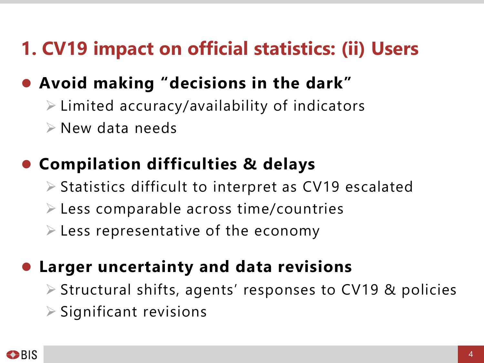## **1. CV19 impact on official statistics: (ii) Users**

## ⚫ **Avoid making "decisions in the dark"**

- ➢ Limited accuracy/availability of indicators
- ➢ New data needs

### ⚫ **Compilation difficulties & delays**

- ➢ Statistics difficult to interpret as CV19 escalated
- ➢ Less comparable across time/countries
- $\triangleright$  Less representative of the economy

## ⚫ **Larger uncertainty and data revisions**

- ➢ Structural shifts, agents' responses to CV19 & policies
- $\triangleright$  Significant revisions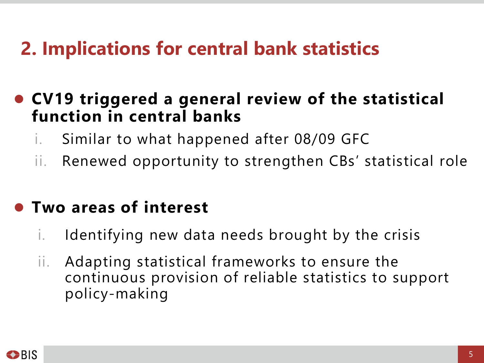## **2. Implications for central bank statistics**

#### ⚫ **CV19 triggered a general review of the statistical function in central banks**

- i. Similar to what happened after 08/09 GFC
- ii. Renewed opportunity to strengthen CBs' statistical role

#### ⚫ **Two areas of interest**

- i. Identifying new data needs brought by the crisis
- ii. Adapting statistical frameworks to ensure the continuous provision of reliable statistics to support policy-making

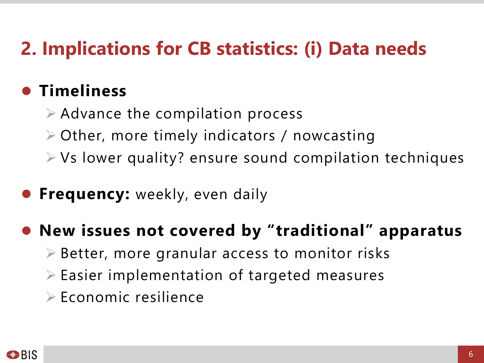## **2. Implications for CB statistics: (i) Data needs**

## ⚫ **Timeliness**

- $\triangleright$  Advance the compilation process
- ➢ Other, more timely indicators / nowcasting
- ➢ Vs lower quality? ensure sound compilation techniques
- ⚫ **Frequency:** weekly, even daily

### ⚫ **New issues not covered by "traditional" apparatus**

- ➢ Better, more granular access to monitor risks
- ➢ Easier implementation of targeted measures
- ➢ Economic resilience

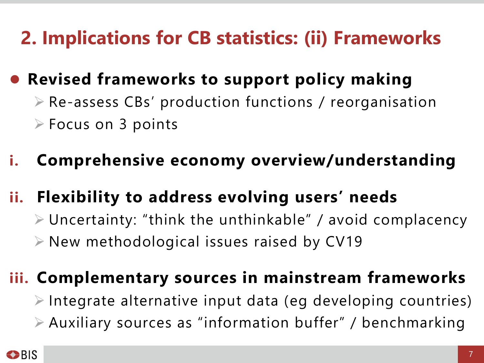# **2. Implications for CB statistics: (ii) Frameworks**

## ⚫ **Revised frameworks to support policy making**

➢ Re-assess CBs' production functions / reorganisation ➢ Focus on 3 points

## **i. Comprehensive economy overview/understanding**

## **ii. Flexibility to address evolving users' needs**

➢ Uncertainty: "think the unthinkable" / avoid complacency

➢ New methodological issues raised by CV19

## **iii. Complementary sources in mainstream frameworks**

- ➢ Integrate alternative input data (eg developing countries)
- ➢ Auxiliary sources as "information buffer" / benchmarking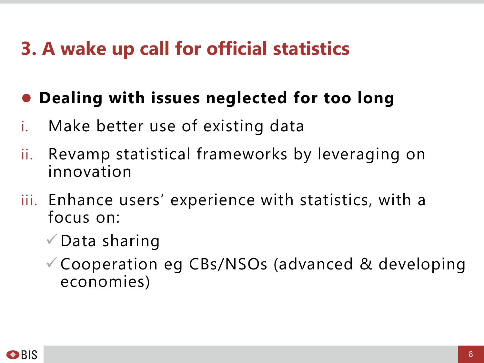## **3. A wake up call for official statistics**

## ⚫ **Dealing with issues neglected for too long**

- i. Make better use of existing data
- ii. Revamp statistical frameworks by leveraging on innovation
- iii. Enhance users' experience with statistics, with a focus on:
	- $\checkmark$  Data sharing
	- ✓Cooperation eg CBs/NSOs (advanced & developing economies)

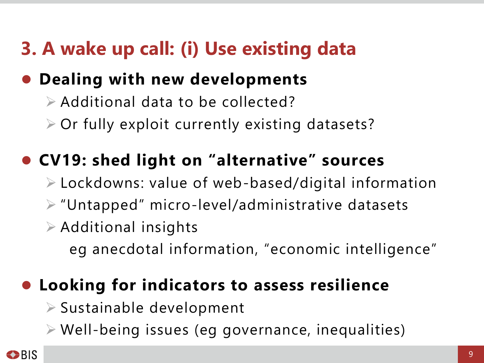## **3. A wake up call: (i) Use existing data**

### ⚫ **Dealing with new developments**

- ➢ Additional data to be collected?
- $\triangleright$  Or fully exploit currently existing datasets?

### ⚫ **CV19: shed light on "alternative" sources**

- ➢ Lockdowns: value of web-based/digital information
- ➢ "Untapped" micro-level/administrative datasets
- ➢ Additional insights
	- eg anecdotal information, "economic intelligence"

### ⚫ **Looking for indicators to assess resilience**

➢ Sustainable development

➢ Well-being issues (eg governance, inequalities)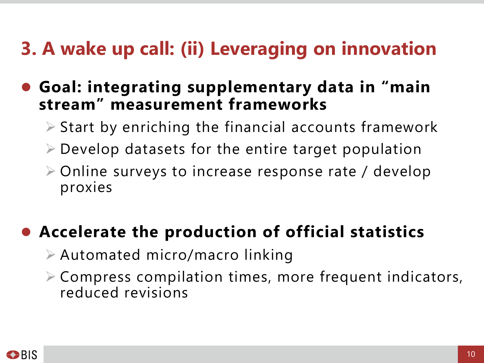## **3. A wake up call: (ii) Leveraging on innovation**

#### ⚫ **Goal: integrating supplementary data in "main stream" measurement frameworks**

- $\triangleright$  Start by enriching the financial accounts framework
- ➢ Develop datasets for the entire target population
- ➢ Online surveys to increase response rate / develop proxies

### ⚫ **Accelerate the production of official statistics**

- ➢ Automated micro/macro linking
- ➢ Compress compilation times, more frequent indicators, reduced revisions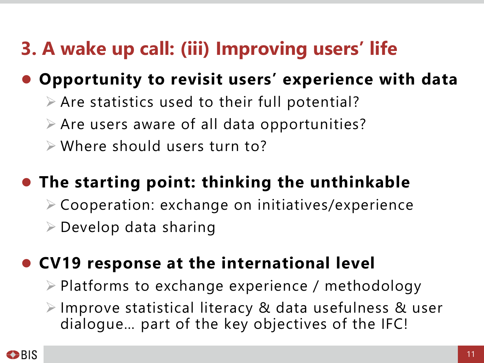# **3. A wake up call: (iii) Improving users' life**

### ⚫ **Opportunity to revisit users' experience with data**

- $\triangleright$  Are statistics used to their full potential?
- $\triangleright$  Are users aware of all data opportunities?
- $\triangleright$  Where should users turn to?

## ⚫ **The starting point: thinking the unthinkable**

➢ Cooperation: exchange on initiatives/experience  $\triangleright$  Develop data sharing

## ⚫ **CV19 response at the international level**

- ➢ Platforms to exchange experience / methodology
- ➢ Improve statistical literacy & data usefulness & user dialogue… part of the key objectives of the IFC!